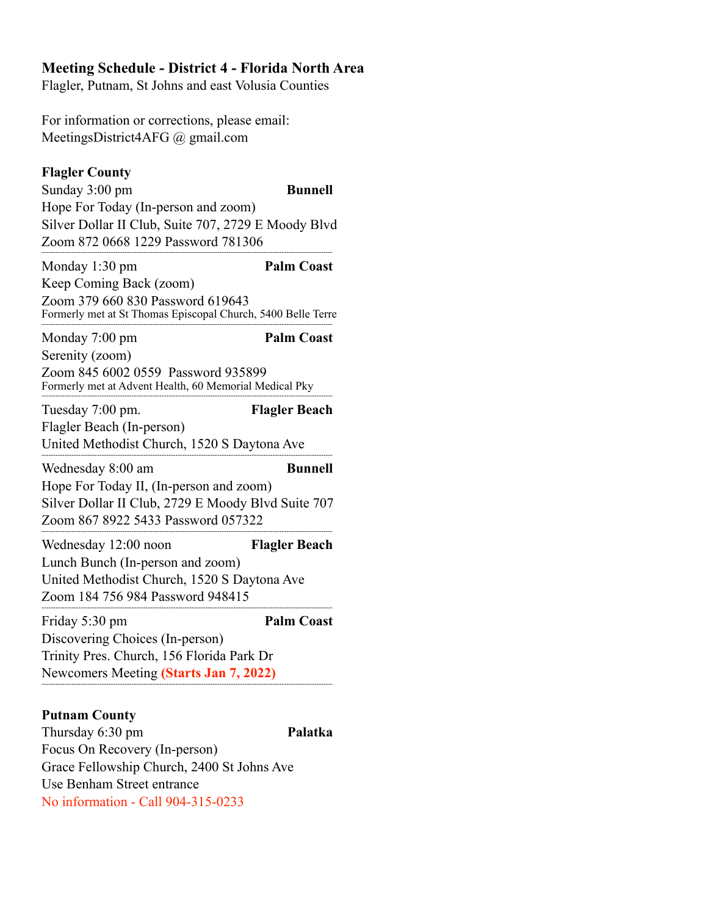## **Meeting Schedule - District 4 - Florida North Area**

Flagler, Putnam, St Johns and east Volusia Counties

For information or corrections, please email: MeetingsDistrict4AFG @ gmail.com

| <b>Flagler County</b><br>Sunday 3:00 pm<br>Hope For Today (In-person and zoom)<br>Silver Dollar II Club, Suite 707, 2729 E Moody Blvd<br>Zoom 872 0668 1229 Password 781306 | <b>Bunnell</b>       |
|-----------------------------------------------------------------------------------------------------------------------------------------------------------------------------|----------------------|
| Monday 1:30 pm<br>Keep Coming Back (zoom)<br>Zoom 379 660 830 Password 619643<br>Formerly met at St Thomas Episcopal Church, 5400 Belle Terre                               | <b>Palm Coast</b>    |
| Monday 7:00 pm<br>Serenity (zoom)<br>Zoom 845 6002 0559 Password 935899<br>Formerly met at Advent Health, 60 Memorial Medical Pky                                           | <b>Palm Coast</b>    |
| Tuesday 7:00 pm.<br>Flagler Beach (In-person)<br>United Methodist Church, 1520 S Daytona Ave                                                                                | <b>Flagler Beach</b> |
| Wednesday 8:00 am<br>Hope For Today II, (In-person and zoom)<br>Silver Dollar II Club, 2729 E Moody Blvd Suite 707<br>Zoom 867 8922 5433 Password 057322                    | <b>Bunnell</b>       |
| Wednesday 12:00 noon<br>Lunch Bunch (In-person and zoom)<br>United Methodist Church, 1520 S Daytona Ave<br>Zoom 184 756 984 Password 948415                                 | <b>Flagler Beach</b> |
| Friday 5:30 pm<br>Discovering Choices (In-person)<br>Trinity Pres. Church, 156 Florida Park Dr<br>Newcomers Meeting (Starts Jan 7, 2022)                                    | <b>Palm Coast</b>    |
| <b>Putnam County</b>                                                                                                                                                        |                      |

Thursday 6:30 pm **Palatka** Focus On Recovery (In-person) Grace Fellowship Church, 2400 St Johns Ave Use Benham Street entrance No information - Call 904-315-0233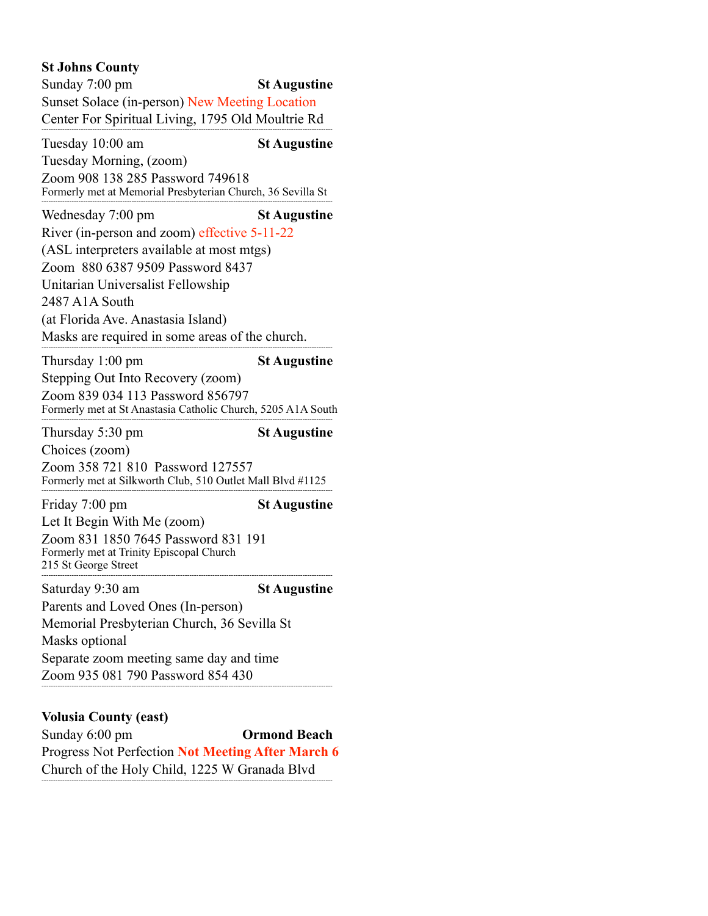## **St Johns County**

Sunday 7:00 pm **St Augustine** Sunset Solace (in-person) New Meeting Location Center For Spiritual Living, 1795 Old Moultrie Rd ------------------------------------------------------------------------------------------------------------------------------ Tuesday 10:00 am **St Augustine** Tuesday Morning, (zoom) Zoom 908 138 285 Password 749618 Formerly met at Memorial Presbyterian Church, 36 Sevilla St ------------------------------------------------------------------------------------------------------------------------------ Wednesday 7:00 pm **St Augustine** River (in-person and zoom) effective 5-11-22 (ASL interpreters available at most mtgs) Zoom 880 6387 9509 Password 8437 Unitarian Universalist Fellowship 2487 A1A South (at Florida Ave. Anastasia Island) Masks are required in some areas of the church. ------------------------------------------------------------------------------------------------------------------------------ Thursday 1:00 pm **St Augustine** Stepping Out Into Recovery (zoom) Zoom 839 034 113 Password 856797 Formerly met at St Anastasia Catholic Church, 5205 A1A South ------------------------------------------------------------------------------------------------------------------------------ Thursday 5:30 pm **St Augustine** Choices (zoom) Zoom 358 721 810 Password 127557 Formerly met at Silkworth Club, 510 Outlet Mall Blvd #1125 ------------------------------------------------------------------------------------------------------------------------------ Friday 7:00 pm **St Augustine** Let It Begin With Me (zoom) Zoom 831 1850 7645 Password 831 191 Formerly met at Trinity Episcopal Church 215 St George Street ------------------------------------------------------------------------------------------------------------------------------ Saturday 9:30 am **St Augustine** Parents and Loved Ones (In-person) Memorial Presbyterian Church, 36 Sevilla St Masks optional Separate zoom meeting same day and time Zoom 935 081 790 Password 854 430 ------------------------------------------------------------------------------------------------------------------------------ **Volusia County (east)** 

Sunday 6:00 pm **Ormond Beach** Progress Not Perfection **Not Meeting After March 6** Church of the Holy Child, 1225 W Granada Blvd

------------------------------------------------------------------------------------------------------------------------------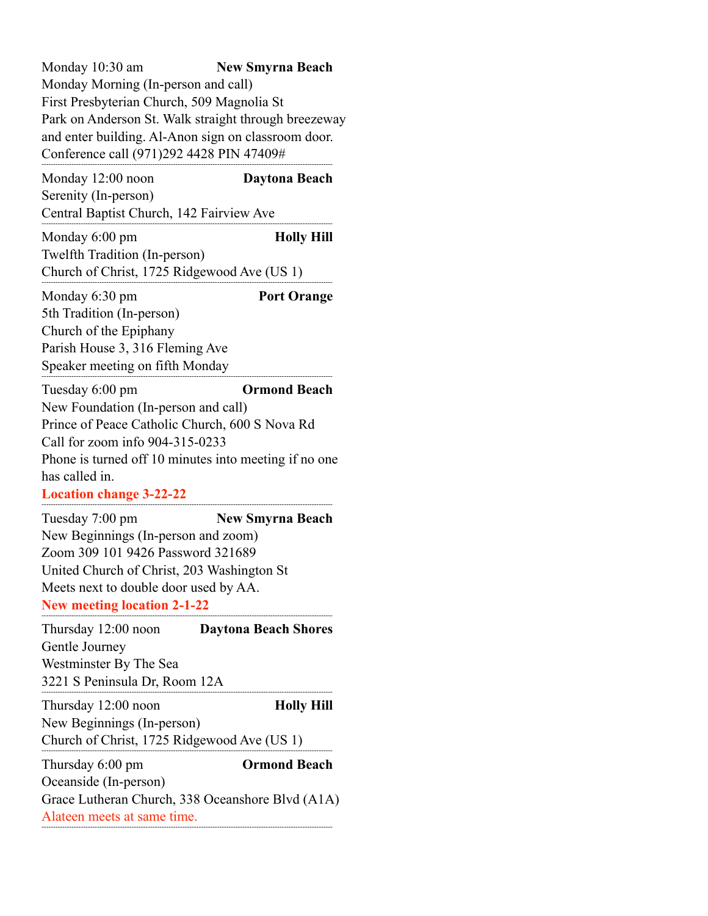Monday 10:30 am **New Smyrna Beach** Monday Morning (In-person and call) First Presbyterian Church, 509 Magnolia St Park on Anderson St. Walk straight through breezeway and enter building. Al-Anon sign on classroom door. Conference call (971)292 4428 PIN 47409# ------------------------------------------------------------------------------------------------------------------------------

Monday 12:00 noon **Daytona Beach** Serenity (In-person) Central Baptist Church, 142 Fairview Ave ------------------------------------------------------------------------------------------------------------------------------

Monday 6:00 pm **Holly Hill** Twelfth Tradition (In-person) Church of Christ, 1725 Ridgewood Ave (US 1) ------------------------------------------------------------------------------------------------------------------------------

Monday 6:30 pm **Port Orange** 5th Tradition (In-person) Church of the Epiphany Parish House 3, 316 Fleming Ave Speaker meeting on fifth Monday ------------------------------------------------------------------------------------------------------------------------------

Tuesday 6:00 pm **Ormond Beach** New Foundation (In-person and call) Prince of Peace Catholic Church, 600 S Nova Rd Call for zoom info 904-315-0233 Phone is turned off 10 minutes into meeting if no one has called in.

**Location change 3-22-22**  ------------------------------------------------------------------------------------------------------------------------------

Tuesday 7:00 pm **New Smyrna Beach** New Beginnings (In-person and zoom) Zoom 309 101 9426 Password 321689 United Church of Christ, 203 Washington St Meets next to double door used by AA. **New meeting location 2-1-22** 

 ------------------------------------------------------------------------------------------------------------------------------ Thursday 12:00 noon **Daytona Beach Shores** Gentle Journey Westminster By The Sea 3221 S Peninsula Dr, Room 12A ------------------------------------------------------------------------------------------------------------------------------ Thursday 12:00 noon **Holly Hill** New Beginnings (In-person) Church of Christ, 1725 Ridgewood Ave (US 1) ------------------------------------------------------------------------------------------------------------------------------ Thursday 6:00 pm **Ormond Beach** Oceanside (In-person) Grace Lutheran Church, 338 Oceanshore Blvd (A1A) Alateen meets at same time.

------------------------------------------------------------------------------------------------------------------------------